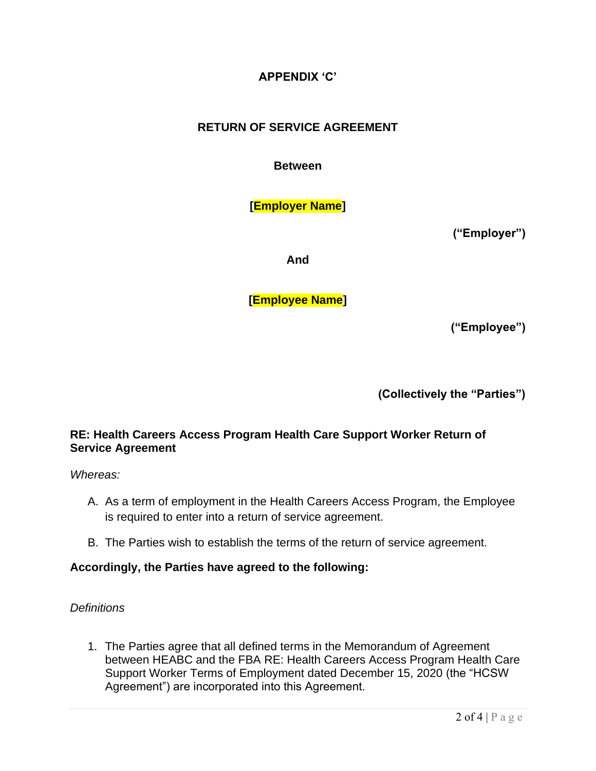# **APPENDIX 'C'**

# **RETURN OF SERVICE AGREEMENT**

**Between**

**[Employer Name]**

**("Employer")**

**And**

**[Employee Name]**

**("Employee")**

**(Collectively the "Parties")**

### **RE: Health Careers Access Program Health Care Support Worker Return of Service Agreement**

*Whereas:*

- A. As a term of employment in the Health Careers Access Program, the Employee is required to enter into a return of service agreement.
- B. The Parties wish to establish the terms of the return of service agreement.

### **Accordingly, the Parties have agreed to the following:**

#### *Definitions*

1. The Parties agree that all defined terms in the Memorandum of Agreement between HEABC and the FBA RE: Health Careers Access Program Health Care Support Worker Terms of Employment dated December 15, 2020 (the "HCSW Agreement") are incorporated into this Agreement.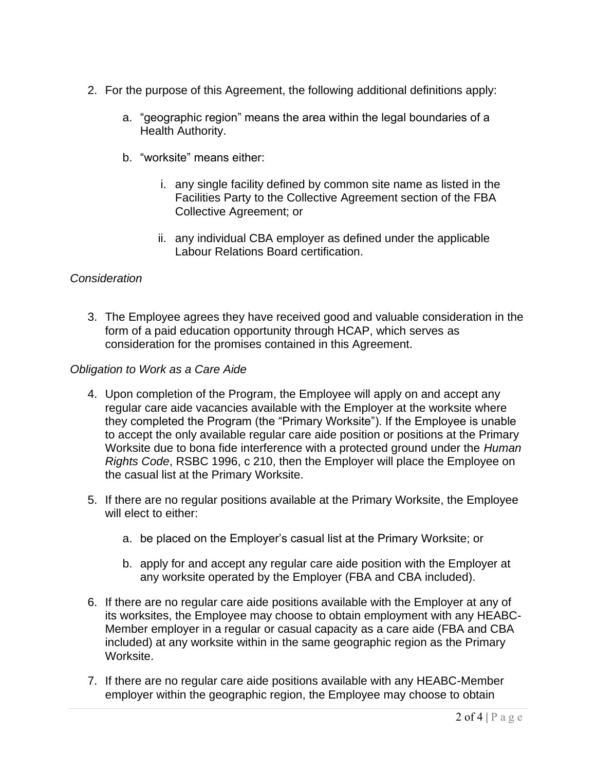- 2. For the purpose of this Agreement, the following additional definitions apply:
	- a. "geographic region" means the area within the legal boundaries of a Health Authority.
	- b. "worksite" means either:
		- i. any single facility defined by common site name as listed in the Facilities Party to the Collective Agreement section of the FBA Collective Agreement; or
		- ii. any individual CBA employer as defined under the applicable Labour Relations Board certification.

# *Consideration*

3. The Employee agrees they have received good and valuable consideration in the form of a paid education opportunity through HCAP, which serves as consideration for the promises contained in this Agreement.

### *Obligation to Work as a Care Aide*

- 4. Upon completion of the Program, the Employee will apply on and accept any regular care aide vacancies available with the Employer at the worksite where they completed the Program (the "Primary Worksite"). If the Employee is unable to accept the only available regular care aide position or positions at the Primary Worksite due to bona fide interference with a protected ground under the *Human Rights Code*, RSBC 1996, c 210, then the Employer will place the Employee on the casual list at the Primary Worksite.
- 5. If there are no regular positions available at the Primary Worksite, the Employee will elect to either:
	- a. be placed on the Employer's casual list at the Primary Worksite; or
	- b. apply for and accept any regular care aide position with the Employer at any worksite operated by the Employer (FBA and CBA included).
- 6. If there are no regular care aide positions available with the Employer at any of its worksites, the Employee may choose to obtain employment with any HEABC-Member employer in a regular or casual capacity as a care aide (FBA and CBA included) at any worksite within in the same geographic region as the Primary Worksite.
- 7. If there are no regular care aide positions available with any HEABC-Member employer within the geographic region, the Employee may choose to obtain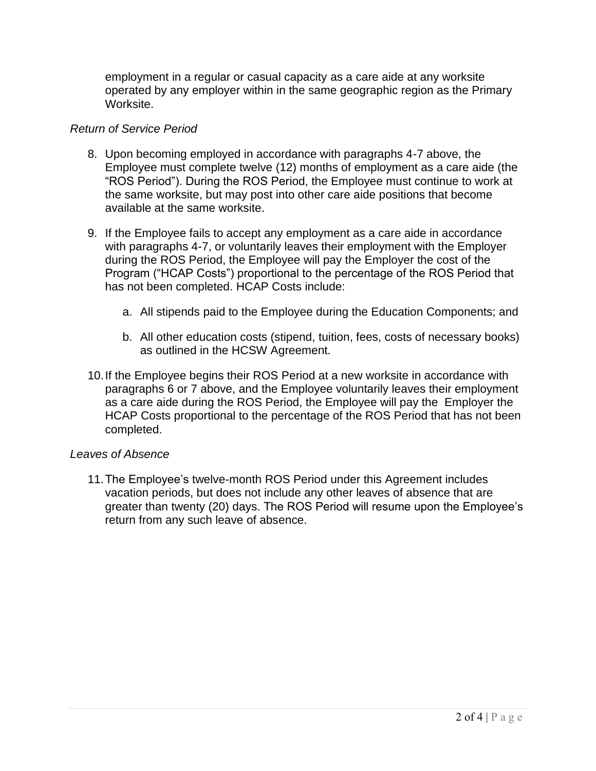employment in a regular or casual capacity as a care aide at any worksite operated by any employer within in the same geographic region as the Primary Worksite.

#### *Return of Service Period*

- 8. Upon becoming employed in accordance with paragraphs 4-7 above, the Employee must complete twelve (12) months of employment as a care aide (the "ROS Period"). During the ROS Period, the Employee must continue to work at the same worksite, but may post into other care aide positions that become available at the same worksite.
- 9. If the Employee fails to accept any employment as a care aide in accordance with paragraphs 4-7, or voluntarily leaves their employment with the Employer during the ROS Period, the Employee will pay the Employer the cost of the Program ("HCAP Costs") proportional to the percentage of the ROS Period that has not been completed. HCAP Costs include:
	- a. All stipends paid to the Employee during the Education Components; and
	- b. All other education costs (stipend, tuition, fees, costs of necessary books) as outlined in the HCSW Agreement.
- 10.If the Employee begins their ROS Period at a new worksite in accordance with paragraphs 6 or 7 above, and the Employee voluntarily leaves their employment as a care aide during the ROS Period, the Employee will pay the Employer the HCAP Costs proportional to the percentage of the ROS Period that has not been completed.

#### *Leaves of Absence*

11.The Employee's twelve-month ROS Period under this Agreement includes vacation periods, but does not include any other leaves of absence that are greater than twenty (20) days. The ROS Period will resume upon the Employee's return from any such leave of absence.